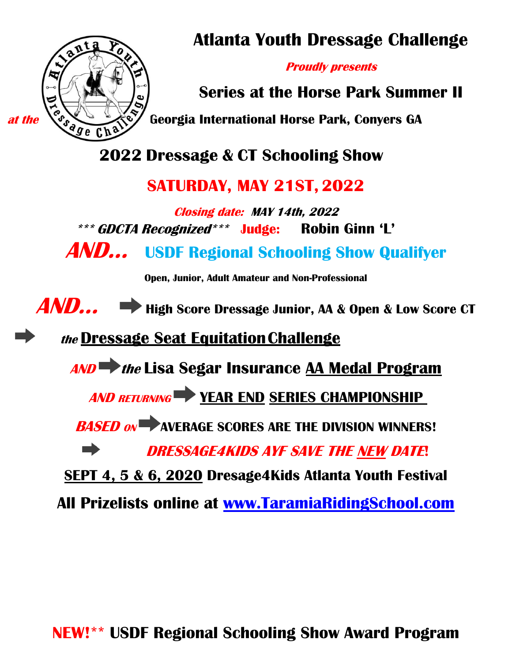

**Atlanta Youth Dressage Challenge**

**Proudly presents**

**Series at the Horse Park Summer II**

*at the* **<b>C**<sub>S</sub><sub>S</sub> **Georgia International Horse Park, Conyers GA**<br> *Georgia International Horse Park, Conyers GA* 

**2022 Dressage & CT Schooling Show**

# **SATURDAY, MAY 21ST, 2022**

**Closing date: MAY 14th, 2022 \*\*\* GDCTA Recognized\*\*\* Judge: Robin Ginn 'L'**

**AND… USDF Regional Schooling Show Qualifyer**

**Open, Junior, Adult Amateur and Non-Professional**

**AND… High Score Dressage Junior, AA & Open & Low Score CT**

**the Dressage Seat EquitationChallenge**

**AND the Lisa Segar Insurance AA Medal Program** 

**AND RETURNING YEAR END SERIES CHAMPIONSHIP** 

**BASED ON AVERAGE SCORES ARE THE DIVISION WINNERS!** 

 $\blacksquare$ **DRESSAGE4KIDS AYF SAVE THE NEW DATE!**

**SEPT 4, 5 & 6, 2020 Dresage4Kids Atlanta Youth Festival** 

**All Prizelists online at [www.TaramiaRidingSchool.com](http://www.taramiaridingschool.com/)**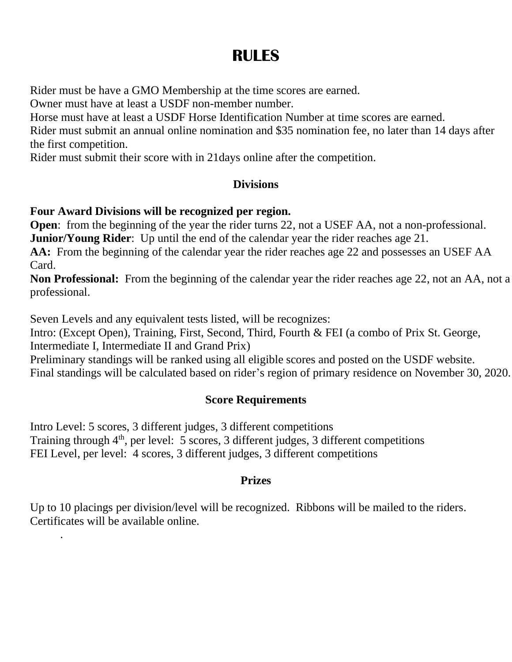# **RULES**

Rider must be have a GMO Membership at the time scores are earned.

Owner must have at least a USDF non-member number.

Horse must have at least a USDF Horse Identification Number at time scores are earned.

Rider must submit an annual online nomination and \$35 nomination fee, no later than 14 days after the first competition.

Rider must submit their score with in 21days online after the competition.

## **Divisions**

## **Four Award Divisions will be recognized per region.**

**Open:** from the beginning of the year the rider turns 22, not a USEF AA, not a non-professional. **Junior/Young Rider**: Up until the end of the calendar year the rider reaches age 21.

**AA:** From the beginning of the calendar year the rider reaches age 22 and possesses an USEF AA Card.

**Non Professional:** From the beginning of the calendar year the rider reaches age 22, not an AA, not a professional.

Seven Levels and any equivalent tests listed, will be recognizes:

.

Intro: (Except Open), Training, First, Second, Third, Fourth & FEI (a combo of Prix St. George, Intermediate I, Intermediate II and Grand Prix)

Preliminary standings will be ranked using all eligible scores and posted on the USDF website. Final standings will be calculated based on rider's region of primary residence on November 30, 2020.

## **Score Requirements**

Intro Level: 5 scores, 3 different judges, 3 different competitions Training through  $4<sup>th</sup>$ , per level: 5 scores, 3 different judges, 3 different competitions FEI Level, per level: 4 scores, 3 different judges, 3 different competitions

## **Prizes**

Up to 10 placings per division/level will be recognized. Ribbons will be mailed to the riders. Certificates will be available online.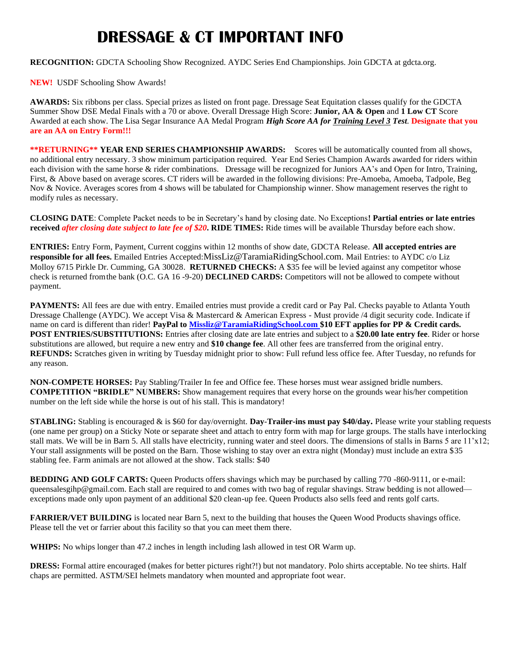# **DRESSAGE & CT IMPORTANT INFO**

**RECOGNITION:** GDCTA Schooling Show Recognized. AYDC Series End Championships. Join GDCTA at gdcta.org.

**NEW!** USDF Schooling Show Awards!

**AWARDS:** Six ribbons per class. Special prizes as listed on front page. Dressage Seat Equitation classes qualify for the GDCTA Summer Show DSE Medal Finals with a 70 or above. Overall Dressage High Score: **Junior, AA & Open** and **1 Low CT** Score Awarded at each show. The Lisa Segar Insurance AA Medal Program *High Score AA for Training Level 3 Test*. **Designate that you are an AA on Entry Form!!!**

**\*\*RETURNING\*\* YEAR END SERIES CHAMPIONSHIP AWARDS:** Scores will be automatically counted from all shows, no additional entry necessary. 3 show minimum participation required. Year End Series Champion Awards awarded for riders within each division with the same horse & rider combinations. Dressage will be recognized for Juniors AA's and Open for Intro, Training, First, & Above based on average scores. CT riders will be awarded in the following divisions: Pre-Amoeba, Amoeba, Tadpole, Beg Nov & Novice. Averages scores from 4 shows will be tabulated for Championship winner. Show management reserves the right to modify rules as necessary.

**CLOSING DATE**: Complete Packet needs to be in Secretary's hand by closing date. No Exceptions**! Partial entries or late entries received** *after closing date subject to late fee of \$20***. RIDE TIMES:** Ride times will be available Thursday before each show.

**ENTRIES:** Entry Form, Payment, Current coggins within 12 months of show date, GDCTA Release. **All accepted entries are responsible for all fees.** Emailed Entries Accepted:MissLiz@TaramiaRidingSchool.com. Mail Entries: to AYDC c/o Liz Molloy 6715 Pirkle Dr. Cumming, GA 30028. **RETURNED CHECKS:** A \$35 fee will be levied against any competitor whose check is returned fromthe bank (O.C. GA 16 -9-20) **DECLINED CARDS:** Competitors will not be allowed to compete without payment.

**PAYMENTS:** All fees are due with entry. Emailed entries must provide a credit card or Pay Pal. Checks payable to Atlanta Youth Dressage Challenge (AYDC). We accept Visa & Mastercard & American Express - Must provide /4 digit security code. Indicate if name on card is different than rider! **PayPal to [Missliz@TaramiaRidingSchool.com](mailto:Missliz@TaramiaRidingSchool.com) \$10 EFT applies for PP & Credit cards. POST ENTRIES/SUBSTITUTIONS:** Entries after closing date are late entries and subject to a **\$20.00 late entry fee**. Rider or horse substitutions are allowed, but require a new entry and **\$10 change fee**. All other fees are transferred from the original entry. **REFUNDS:** Scratches given in writing by Tuesday midnight prior to show: Full refund less office fee. After Tuesday, no refunds for any reason.

**NON-COMPETE HORSES:** Pay Stabling/Trailer In fee and Office fee. These horses must wear assigned bridle numbers. **COMPETITION "BRIDLE" NUMBERS:** Show management requires that every horse on the grounds wear his/her competition number on the left side while the horse is out of his stall. This is mandatory!

**STABLING:** Stabling is encouraged & is \$60 for day/overnight. **Day**-**Trailer-ins must pay \$40/day.** Please write your stabling requests (one name per group) on a Sticky Note or separate sheet and attach to entry form with map for large groups. The stalls have interlocking stall mats. We will be in Barn 5. All stalls have electricity, running water and steel doors. The dimensions of stalls in Barns 5 are 11'x12; Your stall assignments will be posted on the Barn. Those wishing to stay over an extra night (Monday) must include an extra \$35 stabling fee. Farm animals are not allowed at the show. Tack stalls: \$40

**BEDDING AND GOLF CARTS:** Queen Products offers shavings which may be purchased by calling 770 -860-9111, or e-mail[:](mailto:queensalesgihp@gmail.com) [queensalesgihp@gmail.com. E](mailto:queensalesgihp@gmail.com)ach stall are required to and comes with two bag of regular shavings. Straw bedding is not allowed exceptions made only upon payment of an additional \$20 clean-up fee. Queen Products also sells feed and rents golf carts.

**FARRIER/VET BUILDING** is located near Barn 5, next to the building that houses the Queen Wood Products shavings office. Please tell the vet or farrier about this facility so that you can meet them there.

**WHIPS:** No whips longer than 47.2 inches in length including lash allowed in test OR Warm up.

**DRESS:** Formal attire encouraged (makes for better pictures right?!) but not mandatory. Polo shirts acceptable. No tee shirts. Half chaps are permitted. ASTM/SEI helmets mandatory when mounted and appropriate foot wear.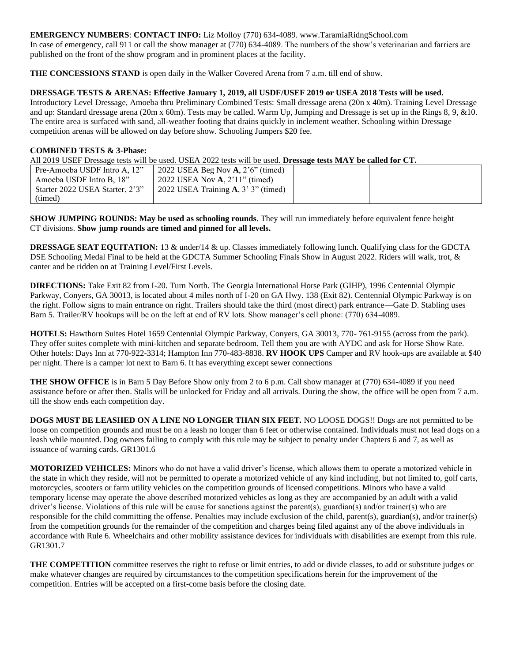#### **EMERGENCY NUMBERS**: **CONTACT INFO:** Liz Molloy (770) 634-4089[. www.TaramiaRidngSchool.com](http://www.taramiaridngschool.com/)

In case of emergency, call 911 or call the show manager at (770) 634-4089. The numbers of the show's veterinarian and farriers are published on the front of the show program and in prominent places at the facility.

**THE CONCESSIONS STAND** is open daily in the Walker Covered Arena from 7 a.m. till end of show.

#### **DRESSAGE TESTS & ARENAS: Effective January 1, 2019, all USDF/USEF 2019 or USEA 2018 Tests will be used.**

Introductory Level Dressage, Amoeba thru Preliminary Combined Tests: Small dressage arena (20n x 40m). Training Level Dressage and up: Standard dressage arena (20m x 60m). Tests may be called. Warm Up, Jumping and Dressage is set up in the Rings 8, 9, &10. The entire area is surfaced with sand, all-weather footing that drains quickly in inclement weather. Schooling within Dressage competition arenas will be allowed on day before show. Schooling Jumpers \$20 fee.

#### **COMBINED TESTS & 3-Phase:**

All 2019 USEF Dressage tests will be used. USEA 2022 tests will be used. **Dressage tests MAY be called for CT.**

| Pre-Amoeba USDF Intro A, 12"    | 2022 USEA Beg Nov $\bf{A}$ , 2'6" (timed)       |  |
|---------------------------------|-------------------------------------------------|--|
| Amoeba USDF Intro B, 18"        | 2022 USEA Nov <b>A</b> , 2'11" (timed)          |  |
| Starter 2022 USEA Starter, 2'3" | 2022 USEA Training $\mathbf{A}$ , 3' 3" (timed) |  |
| (timed)                         |                                                 |  |

**SHOW JUMPING ROUNDS: May be used as schooling rounds**. They will run immediately before equivalent fence height CT divisions. **Show jump rounds are timed and pinned for all levels.**

**DRESSAGE SEAT EQUITATION:** 13 & under/14 & up. Classes immediately following lunch. Qualifying class for the GDCTA DSE Schooling Medal Final to be held at the GDCTA Summer Schooling Finals Show in August 2022. Riders will walk, trot, & canter and be ridden on at Training Level/First Levels.

**DIRECTIONS:** Take Exit 82 from I-20. Turn North. The Georgia International Horse Park (GIHP), 1996 Centennial Olympic Parkway, Conyers, GA 30013, is located about 4 miles north of I-20 on GA Hwy. 138 (Exit 82). Centennial Olympic Parkway is on the right. Follow signs to main entrance on right. Trailers should take the third (most direct) park entrance—Gate D. Stabling uses Barn 5. Trailer/RV hookups will be on the left at end of RV lots. Show manager's cell phone: (770) 634-4089.

**HOTELS:** Hawthorn Suites Hotel 1659 Centennial Olympic Parkway, Conyers, GA 30013, 770- 761-9155 (across from the park). They offer suites complete with mini-kitchen and separate bedroom. Tell them you are with AYDC and ask for Horse Show Rate. Other hotels: Days Inn at 770-922-3314; Hampton Inn 770-483-8838. **RV HOOK UPS** Camper and RV hook-ups are available at \$40 per night. There is a camper lot next to Barn 6. It has everything except sewer connections

**THE SHOW OFFICE** is in Barn 5 Day Before Show only from 2 to 6 p.m. Call show manager at (770) 634-4089 if you need assistance before or after then. Stalls will be unlocked for Friday and all arrivals. During the show, the office will be open from 7 a.m. till the show ends each competition day.

**DOGS MUST BE LEASHED ON A LINE NO LONGER THAN SIX FEET.** NO LOOSE DOGS!! Dogs are not permitted to be loose on competition grounds and must be on a leash no longer than 6 feet or otherwise contained. Individuals must not lead dogs on a leash while mounted. Dog owners failing to comply with this rule may be subject to penalty under Chapters 6 and 7, as well as issuance of warning cards. GR1301.6

**MOTORIZED VEHICLES:** Minors who do not have a valid driver's license, which allows them to operate a motorized vehicle in the state in which they reside, will not be permitted to operate a motorized vehicle of any kind including, but not limited to, golf carts, motorcycles, scooters or farm utility vehicles on the competition grounds of licensed competitions. Minors who have a valid temporary license may operate the above described motorized vehicles as long as they are accompanied by an adult with a valid driver's license. Violations of this rule will be cause for sanctions against the parent(s), guardian(s) and/or trainer(s) who are responsible for the child committing the offense. Penalties may include exclusion of the child, parent(s), guardian(s), and/or trainer(s) from the competition grounds for the remainder of the competition and charges being filed against any of the above individuals in accordance with Rule 6. Wheelchairs and other mobility assistance devices for individuals with disabilities are exempt from this rule. GR1301.7

**THE COMPETITION** committee reserves the right to refuse or limit entries, to add or divide classes, to add or substitute judges or make whatever changes are required by circumstances to the competition specifications herein for the improvement of the competition. Entries will be accepted on a first-come basis before the closing date.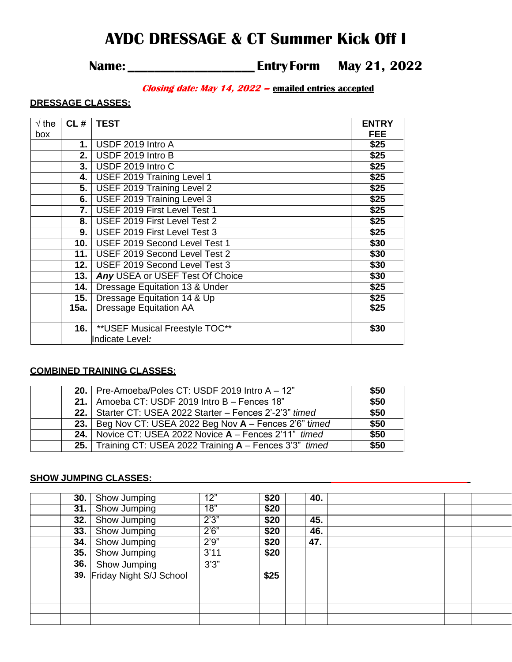# **AYDC DRESSAGE & CT Summer Kick Off I**

## **Name: \_\_\_\_\_\_\_\_\_\_\_\_\_\_\_\_\_\_\_ Entry Form May 21, 2022**

#### **Closing date: May 14, 2022 – emailed entries accepted**

#### **DRESSAGE CLASSES:**

| $\sqrt{}$ the<br>box | CL#  | <b>TEST</b>                       | <b>ENTRY</b><br><b>FEE</b> |
|----------------------|------|-----------------------------------|----------------------------|
|                      | 1.   | USDF 2019 Intro A                 | \$25                       |
|                      | 2.   | USDF 2019 Intro B                 | \$25                       |
|                      | 3.1  | USDF 2019 Intro C                 | \$25                       |
|                      | 4.   | USEF 2019 Training Level 1        | \$25                       |
|                      | 5.   | <b>USEF 2019 Training Level 2</b> | \$25                       |
|                      | 6.   | USEF 2019 Training Level 3        | \$25                       |
|                      | 7.   | USEF 2019 First Level Test 1      | \$25                       |
|                      | 8.   | USEF 2019 First Level Test 2      | \$25                       |
|                      | 9.   | USEF 2019 First Level Test 3      | \$25                       |
|                      |      | 10. USEF 2019 Second Level Test 1 | \$30                       |
|                      | 11.1 | USEF 2019 Second Level Test 2     | \$30                       |
|                      | 12.1 | USEF 2019 Second Level Test 3     | \$30                       |
|                      | 13.  | Any USEA or USEF Test Of Choice   | \$30                       |
|                      | 14.  | Dressage Equitation 13 & Under    | \$25                       |
|                      | 15.  | Dressage Equitation 14 & Up       | \$25                       |
|                      | 15a. | <b>Dressage Equitation AA</b>     | \$25                       |
|                      | 16.  | **USEF Musical Freestyle TOC**    | \$30                       |
|                      |      | Indicate Level:                   |                            |

#### **COMBINED TRAINING CLASSES:**

|  | 20.   Pre-Amoeba/Poles CT: USDF 2019 Intro $A - 12$ "        | \$50 |
|--|--------------------------------------------------------------|------|
|  | 21.   Amoeba CT: USDF $\overline{2019}$ Intro B – Fences 18" | \$50 |
|  | 22.   Starter CT: USEA 2022 Starter - Fences 2'-2'3" timed   | \$50 |
|  | 23.   Beg Nov CT: USEA 2022 Beg Nov A - Fences 2'6" timed    | \$50 |
|  | 24. Novice CT: USEA 2022 Novice A - Fences 2'11" timed       | \$50 |
|  | 25. Training CT: USEA 2022 Training A - Fences 3'3" timed    | \$50 |

#### **SHOW JUMPING CLASSES:**

| 30. | Show Jumping                | 12"   | \$20 | 40. |  |  |
|-----|-----------------------------|-------|------|-----|--|--|
| 31. | <b>Show Jumping</b>         | 18"   | \$20 |     |  |  |
| 32. | <b>Show Jumping</b>         | 2'3'' | \$20 | 45. |  |  |
| 33. | <b>Show Jumping</b>         | 2'6'' | \$20 | 46. |  |  |
| 34. | <b>Show Jumping</b>         | 2'9'' | \$20 | 47. |  |  |
| 35. | Show Jumping                | 3'11  | \$20 |     |  |  |
| 36. | Show Jumping                | 3'3'' |      |     |  |  |
|     | 39. Friday Night S/J School |       | \$25 |     |  |  |
|     |                             |       |      |     |  |  |
|     |                             |       |      |     |  |  |
|     |                             |       |      |     |  |  |
|     |                             |       |      |     |  |  |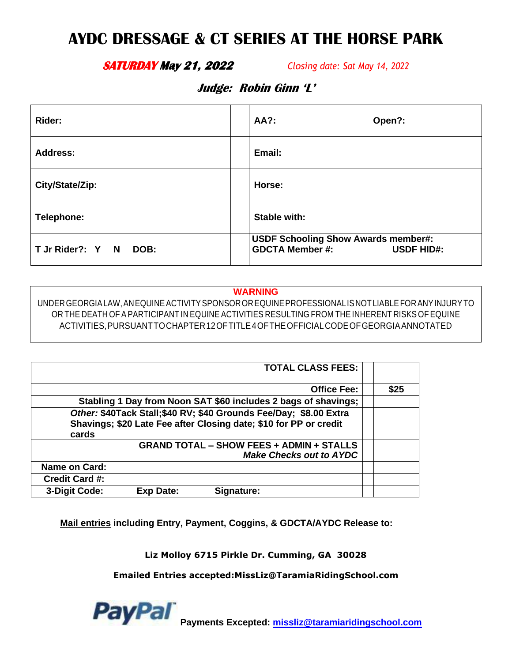# **AYDC DRESSAGE & CT SERIES AT THE HORSE PARK**

### **SATURDAY May 21, 2022** *Closing date: Sat May 14, 2022*

## **Judge: Robin Ginn 'L'**

| Rider:                   | AA?:<br>Open?:                                                                            |
|--------------------------|-------------------------------------------------------------------------------------------|
| Address:                 | Email:                                                                                    |
| City/State/Zip:          | Horse:                                                                                    |
| Telephone:               | Stable with:                                                                              |
| T Jr Rider?: Y N<br>DOB: | <b>USDF Schooling Show Awards member#:</b><br><b>GDCTA Member #:</b><br><b>USDF HID#:</b> |

#### **WARNING**

UNDERGEORGIALAW,ANEQUINEACTIVITYSPONSOROREQUINEPROFESSIONALISNOTLIABLEFORANYINJURYTO OR THE DEATH OF A PARTICIPANT IN EQUINE ACTIVITIES RESULTING FROM THE INHERENT RISKS OF EQUINE ACTIVITIES,PURSUANTTOCHAPTER12OFTITLE4OFTHEOFFICIALCODEOFGEORGIAANNOTATED

| <b>TOTAL CLASS FEES:</b>                                                                                                                        |      |
|-------------------------------------------------------------------------------------------------------------------------------------------------|------|
| <b>Office Fee:</b>                                                                                                                              | \$25 |
| Stabling 1 Day from Noon SAT \$60 includes 2 bags of shavings;                                                                                  |      |
| Other: \$40Tack Stall;\$40 RV; \$40 Grounds Fee/Day; \$8.00 Extra<br>Shavings; \$20 Late Fee after Closing date; \$10 for PP or credit<br>cards |      |
| <b>GRAND TOTAL - SHOW FEES + ADMIN + STALLS</b><br><b>Make Checks out to AYDC</b>                                                               |      |
| Name on Card:                                                                                                                                   |      |
| <b>Credit Card #:</b>                                                                                                                           |      |
| 3-Digit Code:<br><b>Exp Date:</b><br>Signature:                                                                                                 |      |

**Mail entries including Entry, Payment, Coggins, & GDCTA/AYDC Release to:** 

**Liz Molloy 6715 Pirkle Dr. Cumming, GA 30028**

**Emailed Entries accepted:MissLiz@TaramiaRidingSchool.com**

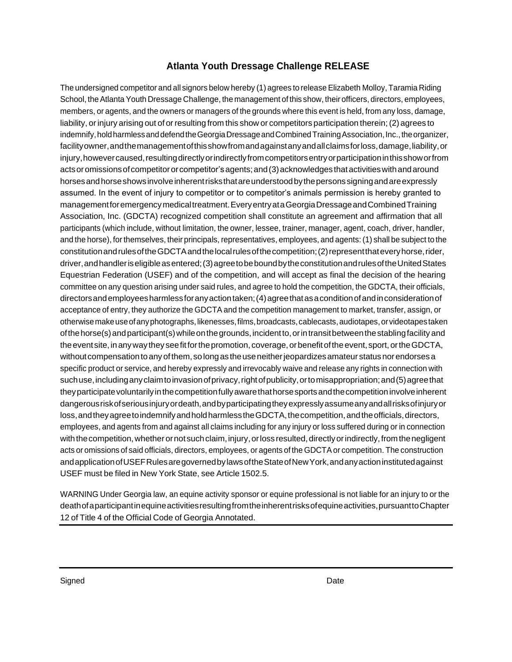#### **Atlanta Youth Dressage Challenge RELEASE**

The undersigned competitor and all signors below hereby (1) agrees to release Elizabeth Molloy, Taramia Riding School, the Atlanta Youth Dressage Challenge, the management of this show, their officers, directors, employees, members, or agents, and the owners or managers of the grounds where this event is held, from any loss, damage, liability, or injury arising out of or resulting from this show or competitors participation therein; (2) agrees to indemnify, hold harmless and defend the Georgia Dressage and Combined Training Association, Inc., the organizer, facilityowner, and the management of this show from and against any and all claims for loss, damage, liability, or injury,howevercaused,resultingdirectlyorindirectlyfromcompetitorsentryorparticipationinthisshoworfrom acts or omissions of competitor or competitor's agents; and (3) acknowledges that activities with and around horsesandhorseshowsinvolveinherentrisksthatareunderstoodbythepersonssigningandareexpressly assumed. In the event of injury to competitor or to competitor's animals permission is hereby granted to managementforemergencymedicaltreatment.EveryentryataGeorgiaDressageandCombinedTraining Association, Inc. (GDCTA) recognized competition shall constitute an agreement and affirmation that all participants (which include, without limitation, the owner, lessee, trainer, manager, agent, coach, driver, handler, and the horse), forthemselves, their principals, representatives, employees, and agents: (1) shall be subject to the constitution and rules of the GDCTA and the local rules of the competition; (2) represent that every horse, rider, driver,andhandleriseligibleasentered;(3)agreetobeboundbytheconstitutionandrulesoftheUnitedStates Equestrian Federation (USEF) and of the competition, and will accept as final the decision of the hearing committee on any question arising under said rules, and agree to hold the competition, the GDCTA, their officials, directorsandemployeesharmlessforanyactiontaken;(4)agreethatasaconditionofandinconsiderationof acceptance of entry, they authorize the GDCTA and the competition management to market, transfer, assign, or otherwise make use of any photographs, likenesses, films, broadcasts, cablecasts, audiotapes, or videotapes taken ofthehorse(s)andparticipant(s)whileonthegrounds,incidentto,orintransitbetweenthestablingfacility and the event site, in any way they see fit for the promotion, coverage, or benefit of the event, sport, or the GDCTA, without compensation to any of them, so long as the use neither jeopardizes amateur status nor endorses a specific product or service, and hereby expressly and irrevocably waive and release any rights in connection with such use, including any claim to invasion of privacy, right of publicity, or to misappropriation; and (5) agree that they participate voluntarily in the competition fully aware that horse sports and the competition involve inherent dangerousriskofseriousinjuryordeath,andbyparticipatingtheyexpresslyassumeanyandallrisksofinjuryor loss, and they agree to indemnify and hold harmless the GDCTA, the competition, and the officials, directors, employees, and agents from and against all claims including for any injury or loss suffered during or in connection with the competition, whether or not such claim, injury, or loss resulted, directly or indirectly, from the negligent acts or omissions of said officials, directors, employees, or agents of the GDCTAor competition. The construction andapplicationofUSEFRulesaregovernedbylawsoftheStateofNewYork,andanyactioninstitutedagainst USEF must be filed in New York State, see Article 1502.5.

WARNING Under Georgia law, an equine activity sponsor or equine professional is not liable for an injury to or the deathofaparticipantinequineactivitiesresultingfromtheinherentrisksofequineactivities,pursuanttoChapter 12 of Title 4 of the Official Code of Georgia Annotated.